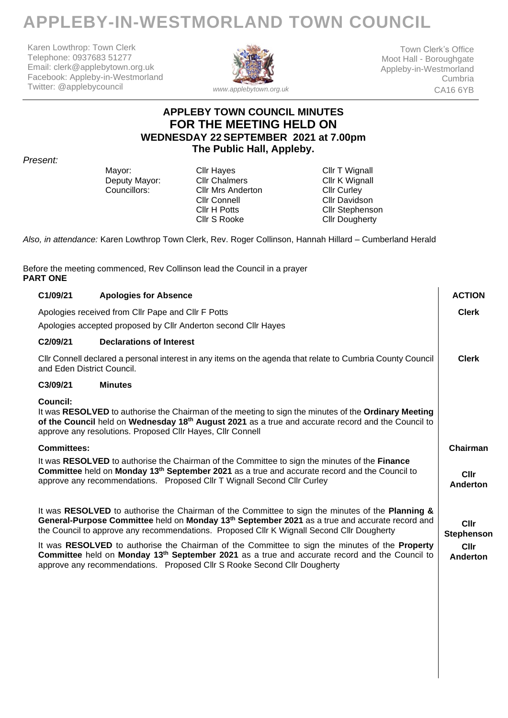# **APPLEBY-IN-WESTMORLAND TOWN COUNCIL**

Karen Lowthrop: Town Clerk Telephone: 0937683 51277 Email: clerk@applebytown.org.uk Facebook: Appleby-in-Westmorland Twitter: @applebycouncil



Town Clerk's Office Moot Hall - Boroughgate Appleby-in-Westmorland Cumbria CA16 6YB

### **APPLEBY TOWN COUNCIL MINUTES FOR THE MEETING HELD ON WEDNESDAY 22 SEPTEMBER 2021 at 7.00pm The Public Hall, Appleby.**

*Present:* 

Mayor: Cllr Hayes Cult Hayes Cllr T Wignall<br>
Deputy Mayor: Cllr Chalmers Cllr K Wignall Deputy Mayor: Cllr Chalmers Click Cllr K Wign<br>
Councillors: Clir Mrs Anderton Clir Curley Cllr Mrs Anderton<br>Cllr Connell Cllr H Potts Cllr S Rooke

Cllr Davidson Cllr Stephenson Cllr Dougherty

*Also, in attendance:* Karen Lowthrop Town Clerk, Rev. Roger Collinson, Hannah Hillard – Cumberland Herald

Before the meeting commenced, Rev Collinson lead the Council in a prayer **PART ONE**

|                                                                                                                                                                                                                                                                                                   | C1/09/21              | <b>Apologies for Absence</b>                                                                                                                                                                                                                                                                                | <b>ACTION</b>             |
|---------------------------------------------------------------------------------------------------------------------------------------------------------------------------------------------------------------------------------------------------------------------------------------------------|-----------------------|-------------------------------------------------------------------------------------------------------------------------------------------------------------------------------------------------------------------------------------------------------------------------------------------------------------|---------------------------|
|                                                                                                                                                                                                                                                                                                   |                       | Apologies received from Cllr Pape and Cllr F Potts                                                                                                                                                                                                                                                          | <b>Clerk</b>              |
|                                                                                                                                                                                                                                                                                                   |                       | Apologies accepted proposed by Cllr Anderton second Cllr Hayes                                                                                                                                                                                                                                              |                           |
|                                                                                                                                                                                                                                                                                                   | C <sub>2</sub> /09/21 | <b>Declarations of Interest</b>                                                                                                                                                                                                                                                                             |                           |
| Cllr Connell declared a personal interest in any items on the agenda that relate to Cumbria County Council<br>and Eden District Council.                                                                                                                                                          |                       |                                                                                                                                                                                                                                                                                                             | <b>Clerk</b>              |
|                                                                                                                                                                                                                                                                                                   | C3/09/21              | <b>Minutes</b>                                                                                                                                                                                                                                                                                              |                           |
| Council:<br>It was RESOLVED to authorise the Chairman of the meeting to sign the minutes of the Ordinary Meeting<br>of the Council held on Wednesday 18 <sup>th</sup> August 2021 as a true and accurate record and the Council to<br>approve any resolutions. Proposed Cllr Hayes, Cllr Connell  |                       |                                                                                                                                                                                                                                                                                                             |                           |
|                                                                                                                                                                                                                                                                                                   | <b>Committees:</b>    |                                                                                                                                                                                                                                                                                                             | Chairman                  |
| It was RESOLVED to authorise the Chairman of the Committee to sign the minutes of the Finance<br>Committee held on Monday 13 <sup>th</sup> September 2021 as a true and accurate record and the Council to<br>approve any recommendations. Proposed Cllr T Wignall Second Cllr Curley<br>Anderton |                       |                                                                                                                                                                                                                                                                                                             |                           |
|                                                                                                                                                                                                                                                                                                   |                       | It was RESOLVED to authorise the Chairman of the Committee to sign the minutes of the Planning &<br>General-Purpose Committee held on Monday 13 <sup>th</sup> September 2021 as a true and accurate record and<br>the Council to approve any recommendations. Proposed Cllr K Wignall Second Cllr Dougherty | <b>Cllr</b><br>Stephenson |
|                                                                                                                                                                                                                                                                                                   |                       | It was RESOLVED to authorise the Chairman of the Committee to sign the minutes of the Property<br>Committee held on Monday 13 <sup>th</sup> September 2021 as a true and accurate record and the Council to<br>approve any recommendations.  Proposed Cllr S Rooke Second Cllr Dougherty                    | <b>Cllr</b><br>Anderton   |
|                                                                                                                                                                                                                                                                                                   |                       |                                                                                                                                                                                                                                                                                                             |                           |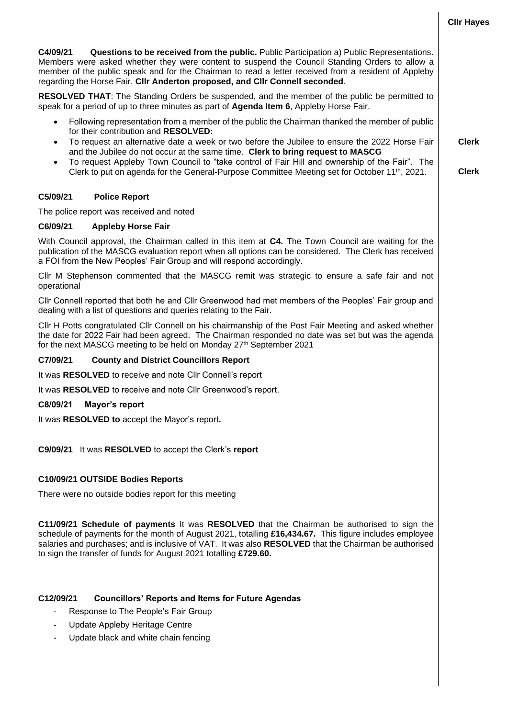**C4/09/21 Questions to be received from the public.** Public Participation a) Public Representations. Members were asked whether they were content to suspend the Council Standing Orders to allow a member of the public speak and for the Chairman to read a letter received from a resident of Appleby regarding the Horse Fair. **Cllr Anderton proposed, and Cllr Connell seconded**.

**RESOLVED THAT**: The Standing Orders be suspended, and the member of the public be permitted to speak for a period of up to three minutes as part of **Agenda Item 6**, Appleby Horse Fair.

- Following representation from a member of the public the Chairman thanked the member of public for their contribution and **RESOLVED:**
- To request an alternative date a week or two before the Jubilee to ensure the 2022 Horse Fair and the Jubilee do not occur at the same time. **Clerk to bring request to MASCG**
- To request Appleby Town Council to "take control of Fair Hill and ownership of the Fair". The Clerk to put on agenda for the General-Purpose Committee Meeting set for October 11th, 2021.

#### **C5/09/21 Police Report**

The police report was received and noted

#### **C6/09/21 Appleby Horse Fair**

With Council approval, the Chairman called in this item at **C4.** The Town Council are waiting for the publication of the MASCG evaluation report when all options can be considered. The Clerk has received a FOI from the New Peoples' Fair Group and will respond accordingly.

Cllr M Stephenson commented that the MASCG remit was strategic to ensure a safe fair and not operational

Cllr Connell reported that both he and Cllr Greenwood had met members of the Peoples' Fair group and dealing with a list of questions and queries relating to the Fair.

Cllr H Potts congratulated Cllr Connell on his chairmanship of the Post Fair Meeting and asked whether the date for 2022 Fair had been agreed. The Chairman responded no date was set but was the agenda for the next MASCG meeting to be held on Monday 27th September 2021

#### **C7/09/21 County and District Councillors Report**

It was **RESOLVED** to receive and note Cllr Connell's report

It was **RESOLVED** to receive and note Cllr Greenwood's report.

#### **C8/09/21 Mayor's report**

It was **RESOLVED to** accept the Mayor's report**.** 

**C9/09/21** It was **RESOLVED** to accept the Clerk's **report** 

#### **C10/09/21 OUTSIDE Bodies Reports**

There were no outside bodies report for this meeting

**C11/09/21 Schedule of payments** It was **RESOLVED** that the Chairman be authorised to sign the schedule of payments for the month of August 2021, totalling **£16,434.67.** This figure includes employee salaries and purchases; and is inclusive of VAT. It was also **RESOLVED** that the Chairman be authorised to sign the transfer of funds for August 2021 totalling **£729.60.**

#### **C12/09/21 Councillors' Reports and Items for Future Agendas**

- Response to The People's Fair Group
- Update Appleby Heritage Centre
- Update black and white chain fencing

**Clerk**

**Clerk**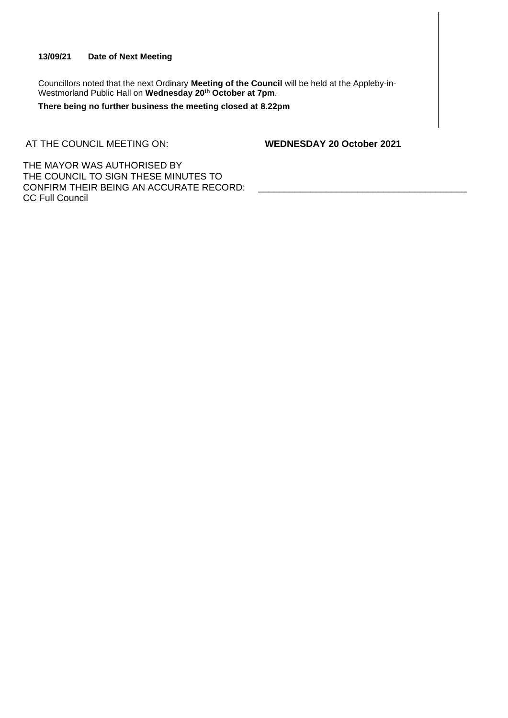#### **13/09/21 Date of Next Meeting**

Councillors noted that the next Ordinary **Meeting of the Council** will be held at the Appleby-in-Westmorland Public Hall on **Wednesday 20th October at 7pm**.

**There being no further business the meeting closed at 8.22pm**

AT THE COUNCIL MEETING ON: **WEDNESDAY 20 October 2021**

THE MAYOR WAS AUTHORISED BY THE COUNCIL TO SIGN THESE MINUTES TO CONFIRM THEIR BEING AN ACCURATE RECORD: CC Full Council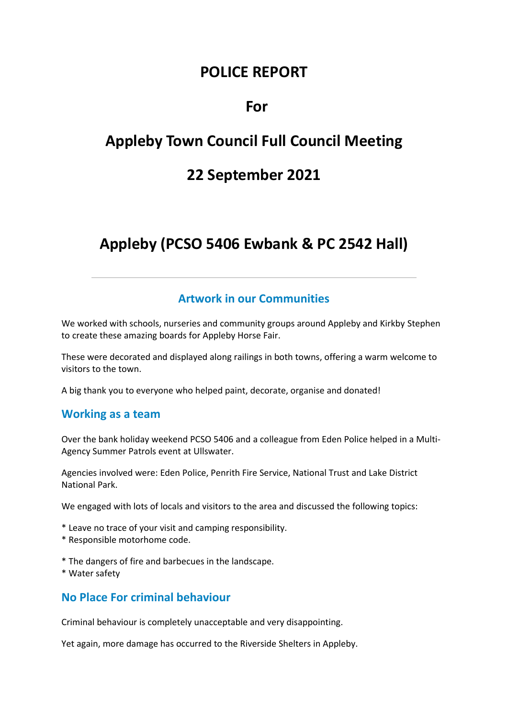# **POLICE REPORT**

# **For**

# **Appleby Town Council Full Council Meeting**

# **22 September 2021**

# **Appleby (PCSO 5406 Ewbank & PC 2542 Hall)**

### **Artwork in our Communities**

We worked with schools, nurseries and community groups around Appleby and Kirkby Stephen to create these amazing boards for Appleby Horse Fair.

These were decorated and displayed along railings in both towns, offering a warm welcome to visitors to the town.

A big thank you to everyone who helped paint, decorate, organise and donated!

#### **Working as a team**

Over the bank holiday weekend PCSO 5406 and a colleague from Eden Police helped in a Multi-Agency Summer Patrols event at Ullswater.

Agencies involved were: Eden Police, Penrith Fire Service, National Trust and Lake District National Park.

We engaged with lots of locals and visitors to the area and discussed the following topics:

- \* Leave no trace of your visit and camping responsibility.
- \* Responsible motorhome code.
- \* The dangers of fire and barbecues in the landscape.
- \* Water safety

### **No Place For criminal behaviour**

Criminal behaviour is completely unacceptable and very disappointing.

Yet again, more damage has occurred to the Riverside Shelters in Appleby.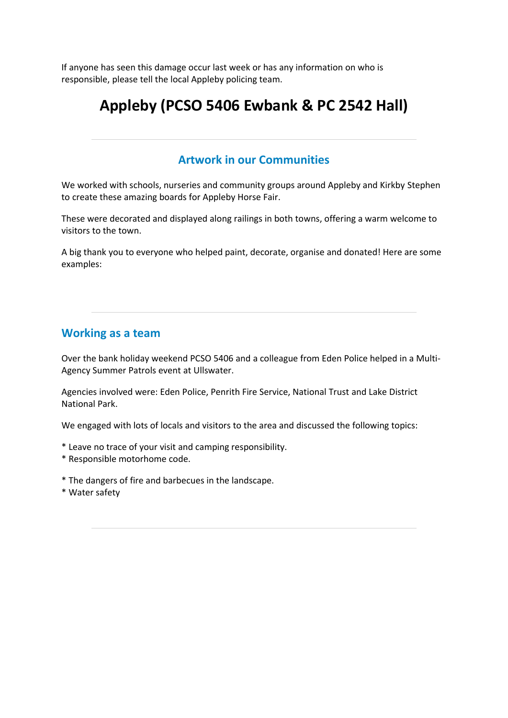If anyone has seen this damage occur last week or has any information on who is responsible, please tell the local Appleby policing team.

# **Appleby (PCSO 5406 Ewbank & PC 2542 Hall)**

### **Artwork in our Communities**

We worked with schools, nurseries and community groups around Appleby and Kirkby Stephen to create these amazing boards for Appleby Horse Fair.

These were decorated and displayed along railings in both towns, offering a warm welcome to visitors to the town.

A big thank you to everyone who helped paint, decorate, organise and donated! Here are some examples:

### **Working as a team**

Over the bank holiday weekend PCSO 5406 and a colleague from Eden Police helped in a Multi-Agency Summer Patrols event at Ullswater.

Agencies involved were: Eden Police, Penrith Fire Service, National Trust and Lake District National Park.

We engaged with lots of locals and visitors to the area and discussed the following topics:

- \* Leave no trace of your visit and camping responsibility.
- \* Responsible motorhome code.
- \* The dangers of fire and barbecues in the landscape.
- \* Water safety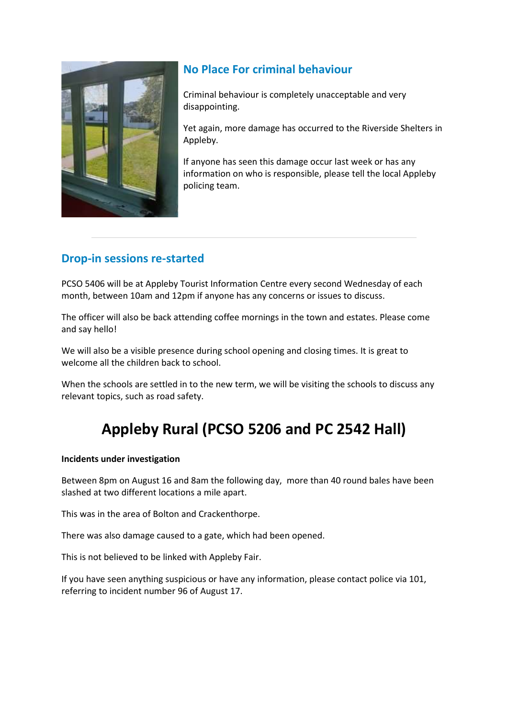

# **No Place For criminal behaviour**

Criminal behaviour is completely unacceptable and very disappointing.

Yet again, more damage has occurred to the Riverside Shelters in Appleby.

If anyone has seen this damage occur last week or has any information on who is responsible, please tell the local Appleby policing team.

# **Drop-in sessions re-started**

PCSO 5406 will be at Appleby Tourist Information Centre every second Wednesday of each month, between 10am and 12pm if anyone has any concerns or issues to discuss.

The officer will also be back attending coffee mornings in the town and estates. Please come and say hello!

We will also be a visible presence during school opening and closing times. It is great to welcome all the children back to school.

When the schools are settled in to the new term, we will be visiting the schools to discuss any relevant topics, such as road safety.

# **Appleby Rural (PCSO 5206 and PC 2542 Hall)**

#### **Incidents under investigation**

Between 8pm on August 16 and 8am the following day, more than 40 round bales have been slashed at two different locations a mile apart.

This was in the area of Bolton and Crackenthorpe.

There was also damage caused to a gate, which had been opened.

This is not believed to be linked with Appleby Fair.

If you have seen anything suspicious or have any information, please contact police via 101, referring to incident number 96 of August 17.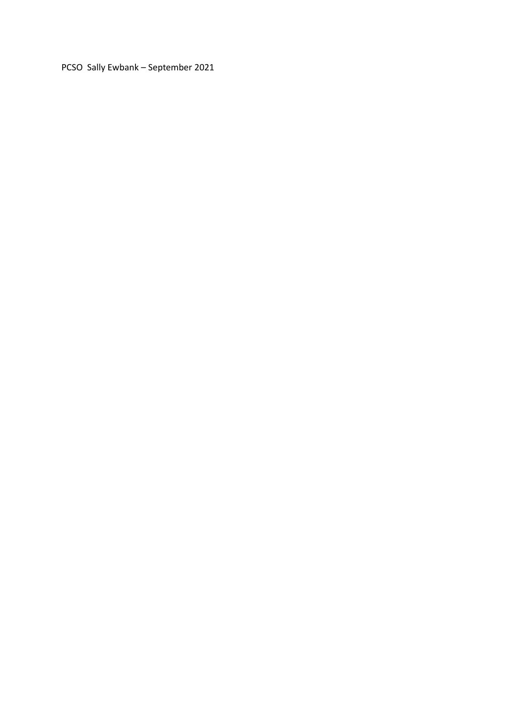PCSO Sally Ewbank - September 2021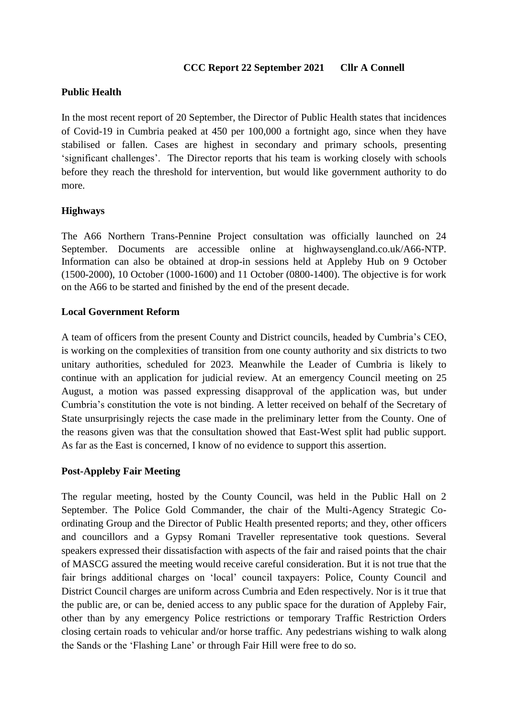#### **CCC Report 22 September 2021 Cllr A Connell**

#### **Public Health**

In the most recent report of 20 September, the Director of Public Health states that incidences of Covid-19 in Cumbria peaked at 450 per 100,000 a fortnight ago, since when they have stabilised or fallen. Cases are highest in secondary and primary schools, presenting 'significant challenges'. The Director reports that his team is working closely with schools before they reach the threshold for intervention, but would like government authority to do more.

#### **Highways**

The A66 Northern Trans-Pennine Project consultation was officially launched on 24 September. Documents are accessible online at highwaysengland.co.uk/A66-NTP. Information can also be obtained at drop-in sessions held at Appleby Hub on 9 October (1500-2000), 10 October (1000-1600) and 11 October (0800-1400). The objective is for work on the A66 to be started and finished by the end of the present decade.

#### **Local Government Reform**

A team of officers from the present County and District councils, headed by Cumbria's CEO, is working on the complexities of transition from one county authority and six districts to two unitary authorities, scheduled for 2023. Meanwhile the Leader of Cumbria is likely to continue with an application for judicial review. At an emergency Council meeting on 25 August, a motion was passed expressing disapproval of the application was, but under Cumbria's constitution the vote is not binding. A letter received on behalf of the Secretary of State unsurprisingly rejects the case made in the preliminary letter from the County. One of the reasons given was that the consultation showed that East-West split had public support. As far as the East is concerned, I know of no evidence to support this assertion.

#### **Post-Appleby Fair Meeting**

The regular meeting, hosted by the County Council, was held in the Public Hall on 2 September. The Police Gold Commander, the chair of the Multi-Agency Strategic Coordinating Group and the Director of Public Health presented reports; and they, other officers and councillors and a Gypsy Romani Traveller representative took questions. Several speakers expressed their dissatisfaction with aspects of the fair and raised points that the chair of MASCG assured the meeting would receive careful consideration. But it is not true that the fair brings additional charges on 'local' council taxpayers: Police, County Council and District Council charges are uniform across Cumbria and Eden respectively. Nor is it true that the public are, or can be, denied access to any public space for the duration of Appleby Fair, other than by any emergency Police restrictions or temporary Traffic Restriction Orders closing certain roads to vehicular and/or horse traffic. Any pedestrians wishing to walk along the Sands or the 'Flashing Lane' or through Fair Hill were free to do so.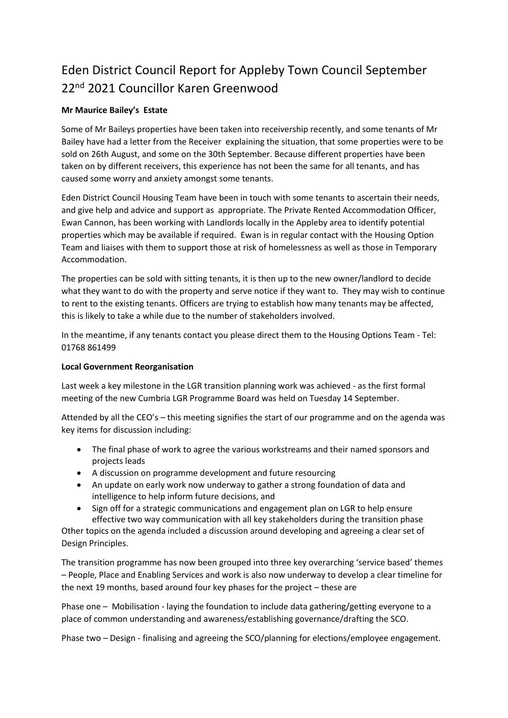# Eden District Council Report for Appleby Town Council September 22<sup>nd</sup> 2021 Councillor Karen Greenwood

#### **Mr Maurice Bailey's Estate**

Some of Mr Baileys properties have been taken into receivership recently, and some tenants of Mr Bailey have had a letter from the Receiver explaining the situation, that some properties were to be sold on 26th August, and some on the 30th September. Because different properties have been taken on by different receivers, this experience has not been the same for all tenants, and has caused some worry and anxiety amongst some tenants.

Eden District Council Housing Team have been in touch with some tenants to ascertain their needs, and give help and advice and support as appropriate. The Private Rented Accommodation Officer, Ewan Cannon, has been working with Landlords locally in the Appleby area to identify potential properties which may be available if required. Ewan is in regular contact with the Housing Option Team and liaises with them to support those at risk of homelessness as well as those in Temporary Accommodation.

The properties can be sold with sitting tenants, it is then up to the new owner/landlord to decide what they want to do with the property and serve notice if they want to. They may wish to continue to rent to the existing tenants. Officers are trying to establish how many tenants may be affected, this is likely to take a while due to the number of stakeholders involved.

In the meantime, if any tenants contact you please direct them to the Housing Options Team - Tel: 01768 861499

#### **Local Government Reorganisation**

Last week a key milestone in the LGR transition planning work was achieved - as the first formal meeting of the new Cumbria LGR Programme Board was held on Tuesday 14 September.

Attended by all the CEO's – this meeting signifies the start of our programme and on the agenda was key items for discussion including:

- The final phase of work to agree the various workstreams and their named sponsors and projects leads
- A discussion on programme development and future resourcing
- An update on early work now underway to gather a strong foundation of data and intelligence to help inform future decisions, and
- Sign off for a strategic communications and engagement plan on LGR to help ensure effective two way communication with all key stakeholders during the transition phase

Other topics on the agenda included a discussion around developing and agreeing a clear set of Design Principles.

The transition programme has now been grouped into three key overarching 'service based' themes – People, Place and Enabling Services and work is also now underway to develop a clear timeline for the next 19 months, based around four key phases for the project – these are

Phase one – Mobilisation - laying the foundation to include data gathering/getting everyone to a place of common understanding and awareness/establishing governance/drafting the SCO.

Phase two – Design - finalising and agreeing the SCO/planning for elections/employee engagement.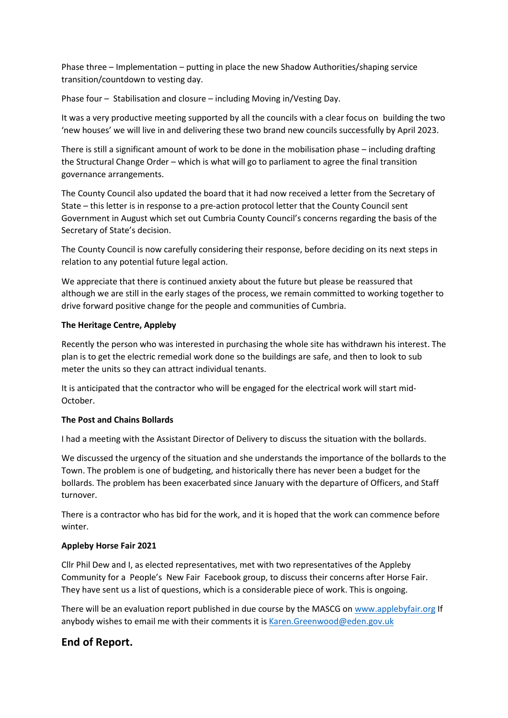Phase three – Implementation – putting in place the new Shadow Authorities/shaping service transition/countdown to vesting day.

Phase four – Stabilisation and closure – including Moving in/Vesting Day.

It was a very productive meeting supported by all the councils with a clear focus on building the two 'new houses' we will live in and delivering these two brand new councils successfully by April 2023.

There is still a significant amount of work to be done in the mobilisation phase – including drafting the Structural Change Order – which is what will go to parliament to agree the final transition governance arrangements.

The County Council also updated the board that it had now received a letter from the Secretary of State – this letter is in response to a pre-action protocol letter that the County Council sent Government in August which set out Cumbria County Council's concerns regarding the basis of the Secretary of State's decision.

The County Council is now carefully considering their response, before deciding on its next steps in relation to any potential future legal action.

We appreciate that there is continued anxiety about the future but please be reassured that although we are still in the early stages of the process, we remain committed to working together to drive forward positive change for the people and communities of Cumbria.

#### **The Heritage Centre, Appleby**

Recently the person who was interested in purchasing the whole site has withdrawn his interest. The plan is to get the electric remedial work done so the buildings are safe, and then to look to sub meter the units so they can attract individual tenants.

It is anticipated that the contractor who will be engaged for the electrical work will start mid-October.

#### **The Post and Chains Bollards**

I had a meeting with the Assistant Director of Delivery to discuss the situation with the bollards.

We discussed the urgency of the situation and she understands the importance of the bollards to the Town. The problem is one of budgeting, and historically there has never been a budget for the bollards. The problem has been exacerbated since January with the departure of Officers, and Staff turnover.

There is a contractor who has bid for the work, and it is hoped that the work can commence before winter.

#### **Appleby Horse Fair 2021**

Cllr Phil Dew and I, as elected representatives, met with two representatives of the Appleby Community for a People's New Fair Facebook group, to discuss their concerns after Horse Fair. They have sent us a list of questions, which is a considerable piece of work. This is ongoing.

There will be an evaluation report published in due course by the MASCG on [www.applebyfair.org](http://www.applebyfair.org/) If anybody wishes to email me with their comments it is [Karen.Greenwood@eden.gov.uk](mailto:Karen.Greenwood@eden.gov.uk)

#### **End of Report.**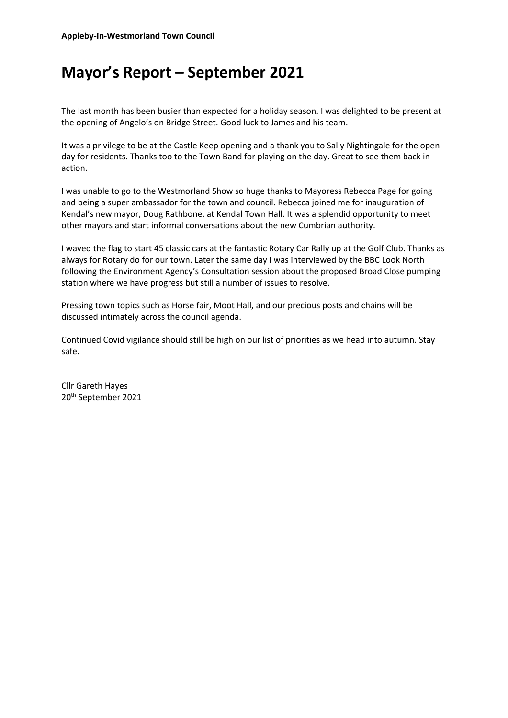# **Mayor's Report – September 2021**

The last month has been busier than expected for a holiday season. I was delighted to be present at the opening of Angelo's on Bridge Street. Good luck to James and his team.

It was a privilege to be at the Castle Keep opening and a thank you to Sally Nightingale for the open day for residents. Thanks too to the Town Band for playing on the day. Great to see them back in action.

I was unable to go to the Westmorland Show so huge thanks to Mayoress Rebecca Page for going and being a super ambassador for the town and council. Rebecca joined me for inauguration of Kendal's new mayor, Doug Rathbone, at Kendal Town Hall. It was a splendid opportunity to meet other mayors and start informal conversations about the new Cumbrian authority.

I waved the flag to start 45 classic cars at the fantastic Rotary Car Rally up at the Golf Club. Thanks as always for Rotary do for our town. Later the same day I was interviewed by the BBC Look North following the Environment Agency's Consultation session about the proposed Broad Close pumping station where we have progress but still a number of issues to resolve.

Pressing town topics such as Horse fair, Moot Hall, and our precious posts and chains will be discussed intimately across the council agenda.

Continued Covid vigilance should still be high on our list of priorities as we head into autumn. Stay safe.

Cllr Gareth Hayes 20th September 2021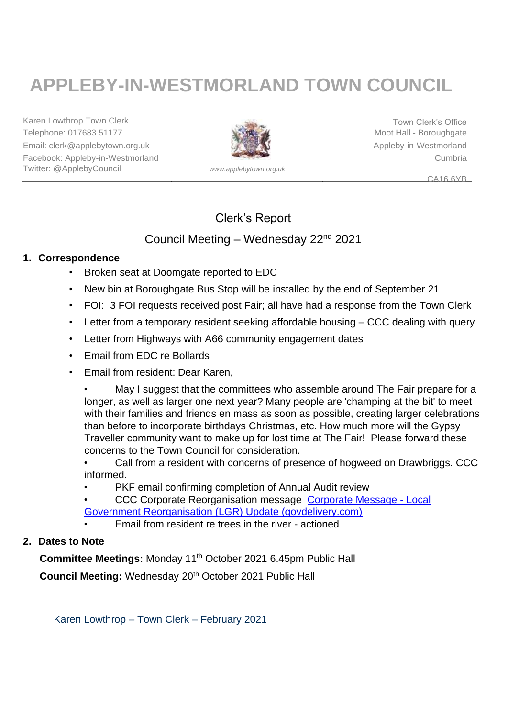# **APPLEBY-IN-WESTMORLAND TOWN COUNCIL**

Karen Lowthrop Town Clerk Town Clerk Town Clerk's Office Telephone: 017683 51177 Moot Hall - Boroughgate Email: clerk@applebytown.org.uk Appleby-in-Westmorland Facebook: Appleby-in-Westmorland Cumbria Twitter: @ApplebyCouncil *www.applebytown.org.uk*



CA16 6YB

# Clerk's Report

### Council Meeting – Wednesday 22<sup>nd</sup> 2021

### **1. Correspondence**

- Broken seat at Doomgate reported to EDC
- New bin at Boroughgate Bus Stop will be installed by the end of September 21
- FOI: 3 FOI requests received post Fair; all have had a response from the Town Clerk
- Letter from a temporary resident seeking affordable housing CCC dealing with query
- Letter from Highways with A66 community engagement dates
- Email from EDC re Bollards
- Email from resident: Dear Karen,

May I suggest that the committees who assemble around The Fair prepare for a longer, as well as larger one next year? Many people are 'champing at the bit' to meet with their families and friends en mass as soon as possible, creating larger celebrations than before to incorporate birthdays Christmas, etc. How much more will the Gypsy Traveller community want to make up for lost time at The Fair! Please forward these concerns to the Town Council for consideration.

• Call from a resident with concerns of presence of hogweed on Drawbriggs. CCC informed.

PKF email confirming completion of Annual Audit review

• CCC Corporate Reorganisation message [Corporate Message -](https://content.govdelivery.com/accounts/UKCCC_INTERNAL/bulletins/2f17e6e) Local [Government Reorganisation \(LGR\) Update \(govdelivery.com\)](https://content.govdelivery.com/accounts/UKCCC_INTERNAL/bulletins/2f17e6e)

• Email from resident re trees in the river - actioned

### **2. Dates to Note**

**Committee Meetings: Monday 11<sup>th</sup> October 2021 6.45pm Public Hall** 

**Council Meeting: Wednesday 20<sup>th</sup> October 2021 Public Hall** 

Karen Lowthrop – Town Clerk – February 2021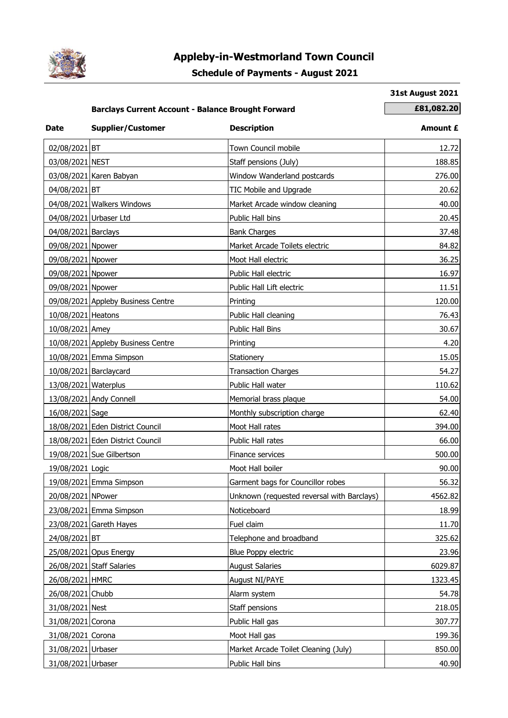

# **Appleby-in-Westmorland Town Council**

### **Schedule of Payments - August 2021**

#### **31st August 2021**

### **Barclays Current Account - Balance Brought Forward <b>E81,082.20**

| <b>Date</b>          | <b>Supplier/Customer</b>           | <b>Description</b>                         | Amount £ |
|----------------------|------------------------------------|--------------------------------------------|----------|
| 02/08/2021 BT        |                                    | Town Council mobile                        | 12.72    |
| 03/08/2021 NEST      |                                    | Staff pensions (July)                      | 188.85   |
|                      | 03/08/2021 Karen Babyan            | Window Wanderland postcards                | 276.00   |
| 04/08/2021 BT        |                                    | TIC Mobile and Upgrade                     | 20.62    |
|                      | 04/08/2021 Walkers Windows         | Market Arcade window cleaning              | 40.00    |
|                      | 04/08/2021 Urbaser Ltd             | Public Hall bins                           | 20.45    |
| 04/08/2021 Barclays  |                                    | <b>Bank Charges</b>                        | 37.48    |
| 09/08/2021 Npower    |                                    | Market Arcade Toilets electric             | 84.82    |
| 09/08/2021 Npower    |                                    | Moot Hall electric                         | 36.25    |
| 09/08/2021 Npower    |                                    | Public Hall electric                       | 16.97    |
| 09/08/2021 Npower    |                                    | Public Hall Lift electric                  | 11.51    |
|                      | 09/08/2021 Appleby Business Centre | Printing                                   | 120.00   |
| 10/08/2021 Heatons   |                                    | Public Hall cleaning                       | 76.43    |
| 10/08/2021 Amey      |                                    | Public Hall Bins                           | 30.67    |
|                      | 10/08/2021 Appleby Business Centre | Printing                                   | 4.20     |
|                      | 10/08/2021 Emma Simpson            | Stationery                                 | 15.05    |
|                      | 10/08/2021 Barclaycard             | <b>Transaction Charges</b>                 | 54.27    |
| 13/08/2021 Waterplus |                                    | Public Hall water                          | 110.62   |
|                      | 13/08/2021 Andy Connell            | Memorial brass plaque                      | 54.00    |
| 16/08/2021 Sage      |                                    | Monthly subscription charge                | 62.40    |
|                      | 18/08/2021 Eden District Council   | Moot Hall rates                            | 394.00   |
|                      | 18/08/2021 Eden District Council   | Public Hall rates                          | 66.00    |
|                      | 19/08/2021 Sue Gilbertson          | Finance services                           | 500.00   |
| 19/08/2021 Logic     |                                    | Moot Hall boiler                           | 90.00    |
|                      | 19/08/2021 Emma Simpson            | Garment bags for Councillor robes          | 56.32    |
| 20/08/2021 NPower    |                                    | Unknown (requested reversal with Barclays) | 4562.82  |
|                      | 23/08/2021 Emma Simpson            | Noticeboard                                | 18.99    |
|                      | 23/08/2021 Gareth Hayes            | Fuel claim                                 | 11.70    |
| 24/08/2021 BT        |                                    | Telephone and broadband                    | 325.62   |
|                      | 25/08/2021 Opus Energy             | Blue Poppy electric                        | 23.96    |
|                      | 26/08/2021 Staff Salaries          | <b>August Salaries</b>                     | 6029.87  |
| 26/08/2021 HMRC      |                                    | August NI/PAYE                             | 1323.45  |
| 26/08/2021 Chubb     |                                    | Alarm system                               | 54.78    |
| 31/08/2021 Nest      |                                    | Staff pensions                             | 218.05   |
| 31/08/2021 Corona    |                                    | Public Hall gas                            | 307.77   |
| 31/08/2021 Corona    |                                    | Moot Hall gas                              | 199.36   |
| 31/08/2021 Urbaser   |                                    | Market Arcade Toilet Cleaning (July)       | 850.00   |
| 31/08/2021 Urbaser   |                                    | Public Hall bins                           | 40.90    |